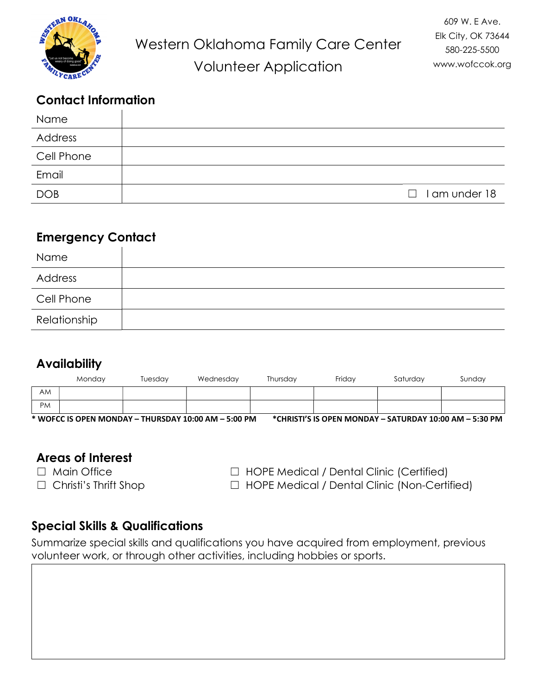

# Contact Information

| Name       |                      |
|------------|----------------------|
| Address    |                      |
| Cell Phone |                      |
| Email      |                      |
| <b>DOB</b> | $\Box$ I am under 18 |

### Emergency Contact

| Name         |  |
|--------------|--|
| Address      |  |
| Cell Phone   |  |
| Relationship |  |

## **Availability**

|                                                      | Mondav | Tuesdav | Wednesday | Thursdav | Fridav | Saturdav                                                | Sunday |
|------------------------------------------------------|--------|---------|-----------|----------|--------|---------------------------------------------------------|--------|
| AM.                                                  |        |         |           |          |        |                                                         |        |
| PM                                                   |        |         |           |          |        |                                                         |        |
| * WOFCC IS OPEN MONDAY - THURSDAY 10:00 AM - 5:00 PM |        |         |           |          |        | *CHRISTI'S IS OPEN MONDAY - SATURDAY 10:00 AM - 5:30 PM |        |

# Areas of Interest

☐ Main Office ☐ HOPE Medical / Dental Clinic (Certified) ☐ Christi's Thrift Shop ☐ HOPE Medical / Dental Clinic (Non-Certified)

# Special Skills & Qualifications

Summarize special skills and qualifications you have acquired from employment, previous volunteer work, or through other activities, including hobbies or sports.